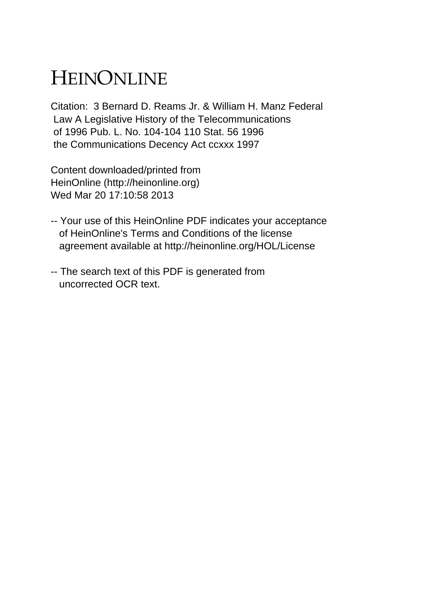# HEINONLINE

Citation: 3 Bernard D. Reams Jr. & William H. Manz Federal Law A Legislative History of the Telecommunications of 1996 Pub. L. No. 104-104 110 Stat. 56 1996 the Communications Decency Act ccxxx 1997

Content downloaded/printed from HeinOnline (http://heinonline.org) Wed Mar 20 17:10:58 2013

- -- Your use of this HeinOnline PDF indicates your acceptance of HeinOnline's Terms and Conditions of the license agreement available at http://heinonline.org/HOL/License
- -- The search text of this PDF is generated from uncorrected OCR text.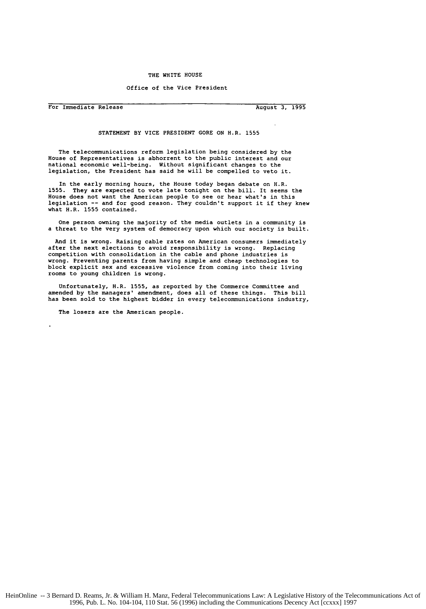#### THE WHITE **HOUSE**

#### Office of the Vice President

For Immediate Release **August** 3, 1995

**STATEMENT** BY VICE PRESIDENT GORE **ON** H.R. **1555**

The telecommunications reform legislation being considered **by** the House of Representatives is abhorrent to the public interest and our national economic well-being. Without significant changes to the legislation, the President has said he will be compelled to veto it.

In the early morning hours, the House today began debate on H.R. **1555.** They are expected to vote late tonight on the bill. It seems the House does not want the American people to see or hear what's in this legislation **--** and for good reason. They couldn't support it if they knew what H.R. **1555** contained.

One person owning the majority of the media outlets in a community is a threat to the very system of democracy upon which our society is built.

And it is wrong. Raising cable rates on American consumers immediately after the next elections to avoid responsibility is wrong. Replacing competition with consolidation in the cable and phone industries is wrong. Preventing parents from having simple and cheap technologies to block explicit sex and excessive violence from coming into their living rooms to young children is wrong.

Unfortunately, H.R. **1555,** as reported **by** the Commerce Committee and amended **by** the managers' amendment, does all of these things. This bill has been sold to the highest bidder in every telecommunications industry,

The losers are the American people.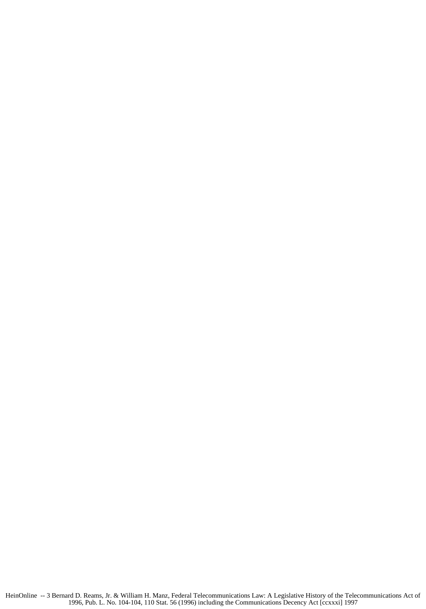HeinOnline -- 3 Bernard D. Reams, Jr. & William H. Manz, Federal Telecommunications Law: A Legislative History of the Telecommunications Act of 1996, Pub. L. No. 104-104, 110 Stat. 56 (1996) including the Communications Decency Act [ccxxxi] 1997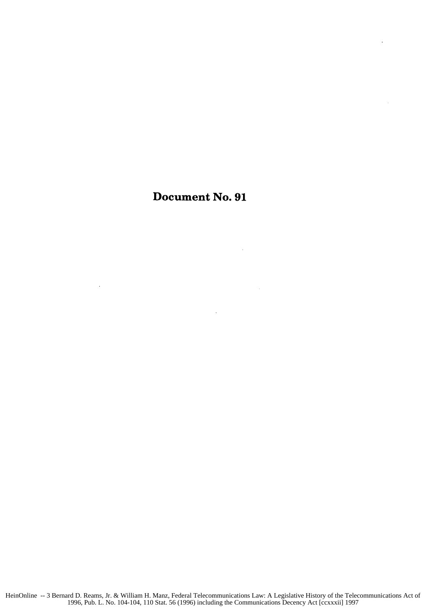## Document No. **91**

 $\sim$ 

 $\sim 10^{-10}$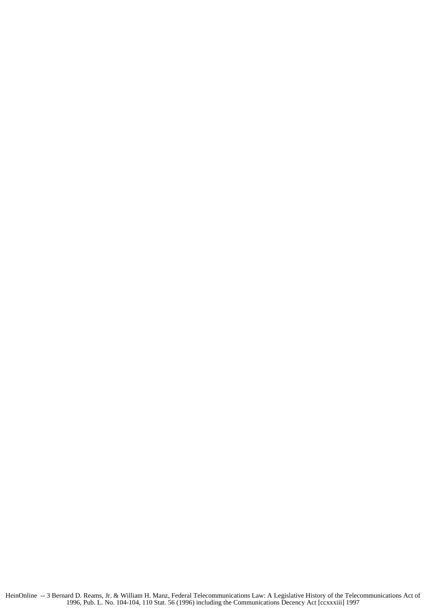HeinOnline -- 3 Bernard D. Reams, Jr. & William H. Manz, Federal Telecommunications Law: A Legislative History of the Telecommunications Act of 1996, Pub. L. No. 104-104, 110 Stat. 56 (1996) including the Communications Decency Act [ccxxxiii] 1997